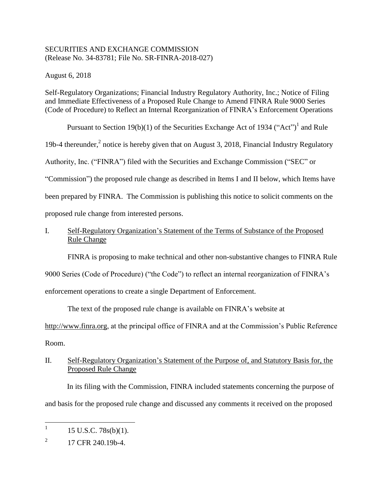## SECURITIES AND EXCHANGE COMMISSION (Release No. 34-83781; File No. SR-FINRA-2018-027)

August 6, 2018

Self-Regulatory Organizations; Financial Industry Regulatory Authority, Inc.; Notice of Filing and Immediate Effectiveness of a Proposed Rule Change to Amend FINRA Rule 9000 Series (Code of Procedure) to Reflect an Internal Reorganization of FINRA's Enforcement Operations

Pursuant to Section 19(b)(1) of the Securities Exchange Act of 1934 ("Act")<sup>1</sup> and Rule

19b-4 thereunder, $<sup>2</sup>$  notice is hereby given that on August 3, 2018, Financial Industry Regulatory</sup>

Authority, Inc. ("FINRA") filed with the Securities and Exchange Commission ("SEC" or

"Commission") the proposed rule change as described in Items I and II below, which Items have

been prepared by FINRA. The Commission is publishing this notice to solicit comments on the

proposed rule change from interested persons.

# I. Self-Regulatory Organization's Statement of the Terms of Substance of the Proposed Rule Change

FINRA is proposing to make technical and other non-substantive changes to FINRA Rule

9000 Series (Code of Procedure) ("the Code") to reflect an internal reorganization of FINRA's

enforcement operations to create a single Department of Enforcement.

The text of the proposed rule change is available on FINRA's website at

http://www.finra.org, at the principal office of FINRA and at the Commission's Public Reference Room.

# II. Self-Regulatory Organization's Statement of the Purpose of, and Statutory Basis for, the Proposed Rule Change

In its filing with the Commission, FINRA included statements concerning the purpose of and basis for the proposed rule change and discussed any comments it received on the proposed

 $\frac{1}{1}$ 15 U.S.C. 78s(b)(1).

<sup>2</sup> 17 CFR 240.19b-4.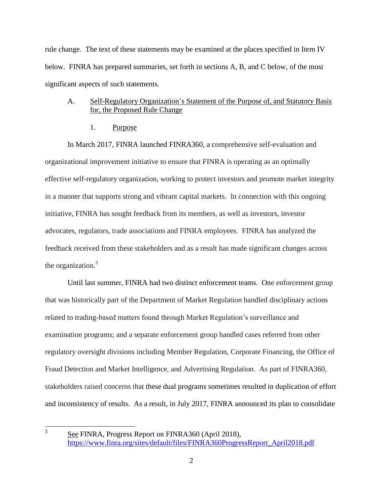rule change. The text of these statements may be examined at the places specified in Item IV below. FINRA has prepared summaries, set forth in sections A, B, and C below, of the most significant aspects of such statements.

## A. Self-Regulatory Organization's Statement of the Purpose of, and Statutory Basis for, the Proposed Rule Change

1. Purpose

In March 2017, FINRA launched FINRA360, a comprehensive self-evaluation and organizational improvement initiative to ensure that FINRA is operating as an optimally effective self-regulatory organization, working to protect investors and promote market integrity in a manner that supports strong and vibrant capital markets. In connection with this ongoing initiative, FINRA has sought feedback from its members, as well as investors, investor advocates, regulators, trade associations and FINRA employees. FINRA has analyzed the feedback received from these stakeholders and as a result has made significant changes across the organization.<sup>3</sup>

Until last summer, FINRA had two distinct enforcement teams. One enforcement group that was historically part of the Department of Market Regulation handled disciplinary actions related to trading-based matters found through Market Regulation's surveillance and examination programs; and a separate enforcement group handled cases referred from other regulatory oversight divisions including Member Regulation, Corporate Financing, the Office of Fraud Detection and Market Intelligence, and Advertising Regulation. As part of FINRA360, stakeholders raised concerns that these dual programs sometimes resulted in duplication of effort and inconsistency of results. As a result, in July 2017, FINRA announced its plan to consolidate

 $\frac{1}{3}$ 

See FINRA, Progress Report on FINRA360 (April 2018), [https://www.finra.org/sites/default/files/FINRA360ProgressReport\\_April2018.pdf](https://www.finra.org/sites/default/files/FINRA360ProgressReport_April2018.pdf)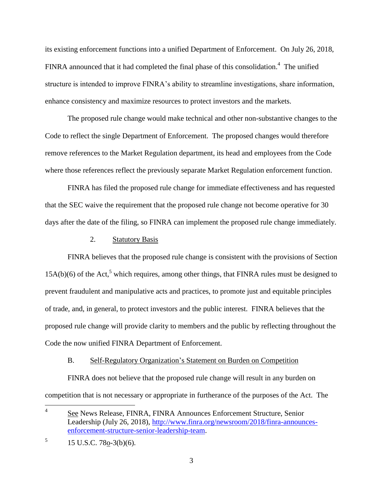its existing enforcement functions into a unified Department of Enforcement. On July 26, 2018, FINRA announced that it had completed the final phase of this consolidation.<sup>4</sup> The unified structure is intended to improve FINRA's ability to streamline investigations, share information, enhance consistency and maximize resources to protect investors and the markets.

The proposed rule change would make technical and other non-substantive changes to the Code to reflect the single Department of Enforcement. The proposed changes would therefore remove references to the Market Regulation department, its head and employees from the Code where those references reflect the previously separate Market Regulation enforcement function.

FINRA has filed the proposed rule change for immediate effectiveness and has requested that the SEC waive the requirement that the proposed rule change not become operative for 30 days after the date of the filing, so FINRA can implement the proposed rule change immediately.

#### 2. Statutory Basis

FINRA believes that the proposed rule change is consistent with the provisions of Section  $15A(b)(6)$  of the Act,<sup>5</sup> which requires, among other things, that FINRA rules must be designed to prevent fraudulent and manipulative acts and practices, to promote just and equitable principles of trade, and, in general, to protect investors and the public interest. FINRA believes that the proposed rule change will provide clarity to members and the public by reflecting throughout the Code the now unified FINRA Department of Enforcement.

#### B. Self-Regulatory Organization's Statement on Burden on Competition

FINRA does not believe that the proposed rule change will result in any burden on competition that is not necessary or appropriate in furtherance of the purposes of the Act. The

 $\frac{1}{4}$ See News Release, FINRA, FINRA Announces Enforcement Structure, Senior Leadership (July 26, 2018), [http://www.finra.org/newsroom/2018/finra-announces](http://www.finra.org/newsroom/2018/finra-announces-enforcement-structure-senior-leadership-team)[enforcement-structure-senior-leadership-team.](http://www.finra.org/newsroom/2018/finra-announces-enforcement-structure-senior-leadership-team)

<sup>5</sup> 15 U.S.C. 78o-3(b)(6).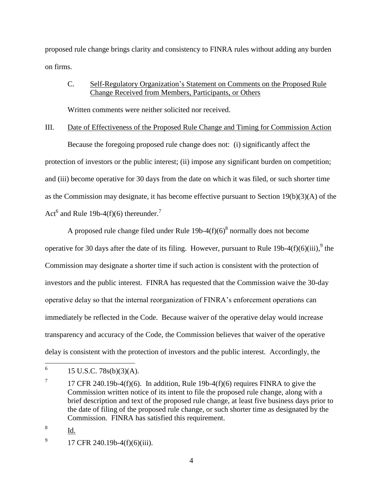proposed rule change brings clarity and consistency to FINRA rules without adding any burden on firms.

## C. Self-Regulatory Organization's Statement on Comments on the Proposed Rule Change Received from Members, Participants, or Others

Written comments were neither solicited nor received.

## III. Date of Effectiveness of the Proposed Rule Change and Timing for Commission Action

Because the foregoing proposed rule change does not: (i) significantly affect the protection of investors or the public interest; (ii) impose any significant burden on competition; and (iii) become operative for 30 days from the date on which it was filed, or such shorter time as the Commission may designate, it has become effective pursuant to Section 19(b)(3)(A) of the Act<sup>6</sup> and Rule 19b-4(f)(6) thereunder.<sup>7</sup>

A proposed rule change filed under Rule  $19b-4(f)(6)^8$  normally does not become operative for 30 days after the date of its filing. However, pursuant to Rule 19b-4(f)(6)(iii),  $9$  the Commission may designate a shorter time if such action is consistent with the protection of investors and the public interest. FINRA has requested that the Commission waive the 30-day operative delay so that the internal reorganization of FINRA's enforcement operations can immediately be reflected in the Code. Because waiver of the operative delay would increase transparency and accuracy of the Code, the Commission believes that waiver of the operative delay is consistent with the protection of investors and the public interest. Accordingly, the

8 Id.

 6 15 U.S.C. 78s(b)(3)(A).

<sup>7</sup> 17 CFR 240.19b-4(f)(6). In addition, Rule 19b-4(f)(6) requires FINRA to give the Commission written notice of its intent to file the proposed rule change, along with a brief description and text of the proposed rule change, at least five business days prior to the date of filing of the proposed rule change, or such shorter time as designated by the Commission. FINRA has satisfied this requirement.

<sup>9</sup> 17 CFR 240.19b-4(f)(6)(iii).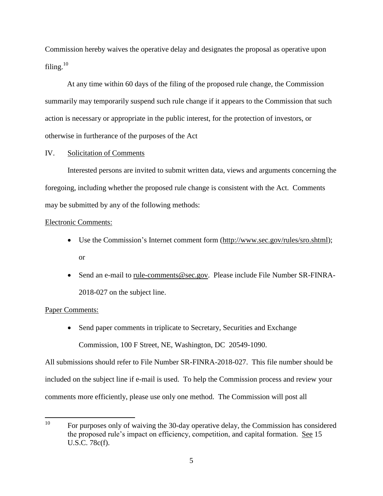Commission hereby waives the operative delay and designates the proposal as operative upon filing.<sup>10</sup>

At any time within 60 days of the filing of the proposed rule change, the Commission summarily may temporarily suspend such rule change if it appears to the Commission that such action is necessary or appropriate in the public interest, for the protection of investors, or otherwise in furtherance of the purposes of the Act

### IV. Solicitation of Comments

Interested persons are invited to submit written data, views and arguments concerning the foregoing, including whether the proposed rule change is consistent with the Act. Comments may be submitted by any of the following methods:

#### Electronic Comments:

- Use the Commission's Internet comment form (http://www.sec.gov/rules/sro.shtml); or
- Send an e-mail to rule-comments@sec.gov. Please include File Number SR-FINRA-2018-027 on the subject line.

### Paper Comments:

• Send paper comments in triplicate to Secretary, Securities and Exchange Commission, 100 F Street, NE, Washington, DC 20549-1090.

All submissions should refer to File Number SR-FINRA-2018-027. This file number should be included on the subject line if e-mail is used. To help the Commission process and review your comments more efficiently, please use only one method. The Commission will post all

 $10<sup>10</sup>$ For purposes only of waiving the 30-day operative delay, the Commission has considered the proposed rule's impact on efficiency, competition, and capital formation. See 15 U.S.C. 78c(f).